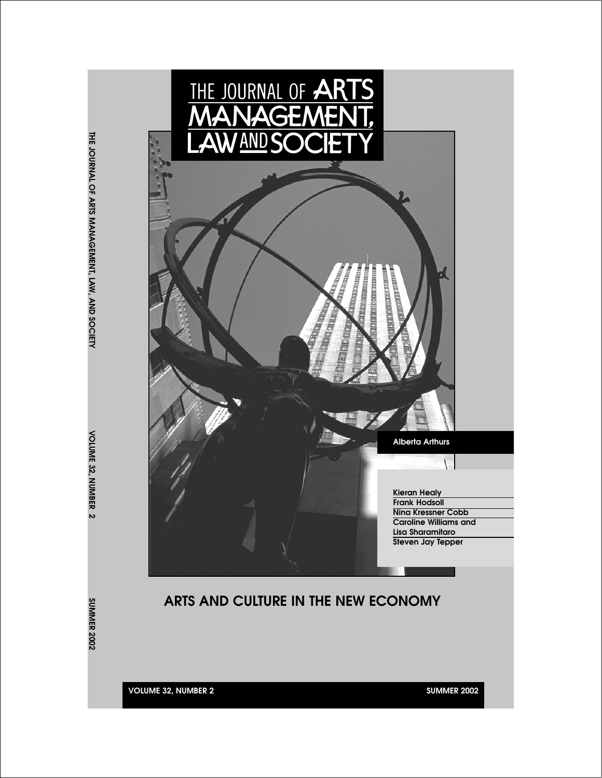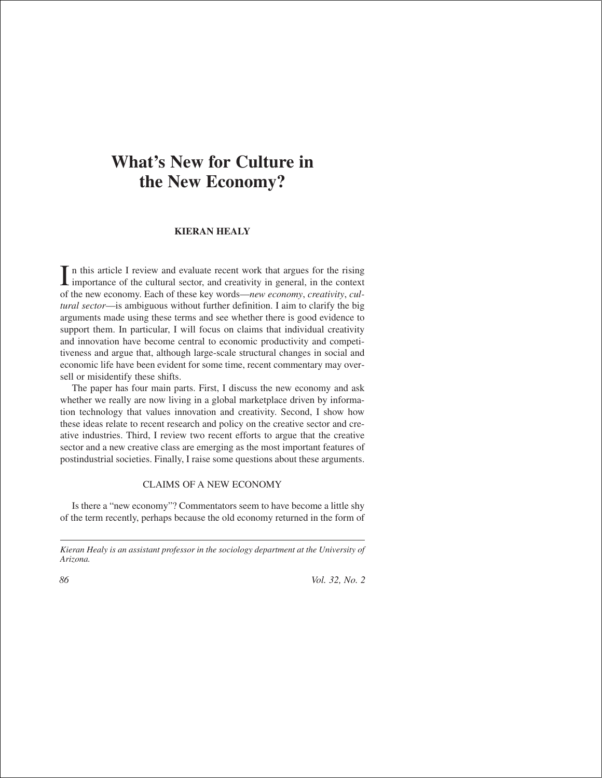# **What's New for Culture in the New Economy?**

# **KIERAN HEALY**

n this article I review and evaluate recent work that argues for the rising In this article I review and evaluate recent work that argues for the rising<br>importance of the cultural sector, and creativity in general, in the context<br> $\frac{1}{2}$ of the new economy. Each of these key words—*new economy*, *creativity*, *cultural sector*—is ambiguous without further definition. I aim to clarify the big arguments made using these terms and see whether there is good evidence to support them. In particular, I will focus on claims that individual creativity and innovation have become central to economic productivity and competitiveness and argue that, although large-scale structural changes in social and economic life have been evident for some time, recent commentary may oversell or misidentify these shifts.

The paper has four main parts. First, I discuss the new economy and ask whether we really are now living in a global marketplace driven by information technology that values innovation and creativity. Second, I show how these ideas relate to recent research and policy on the creative sector and creative industries. Third, I review two recent efforts to argue that the creative sector and a new creative class are emerging as the most important features of postindustrial societies. Finally, I raise some questions about these arguments.

#### CLAIMS OF A NEW ECONOMY

Is there a "new economy"? Commentators seem to have become a little shy of the term recently, perhaps because the old economy returned in the form of

*Kieran Healy is an assistant professor in the sociology department at the University of Arizona.*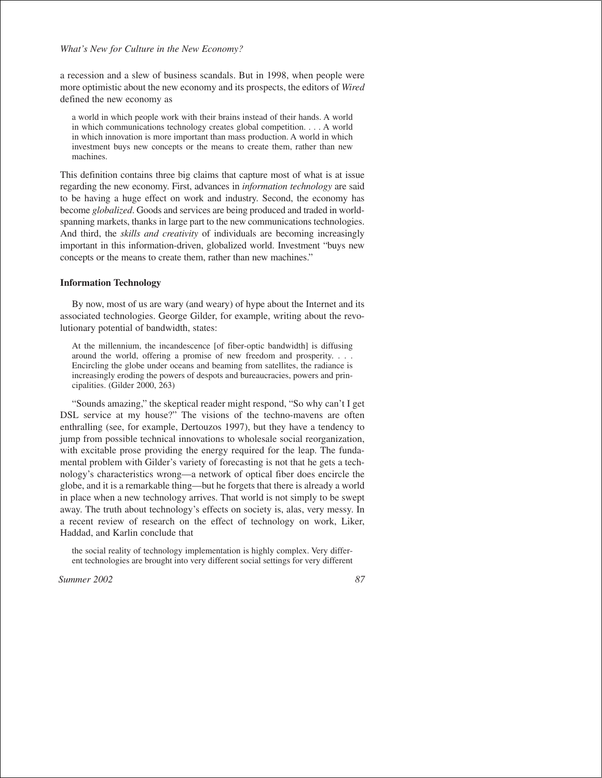a recession and a slew of business scandals. But in 1998, when people were more optimistic about the new economy and its prospects, the editors of *Wired* defined the new economy as

a world in which people work with their brains instead of their hands. A world in which communications technology creates global competition. . . . A world in which innovation is more important than mass production. A world in which investment buys new concepts or the means to create them, rather than new machines.

This definition contains three big claims that capture most of what is at issue regarding the new economy. First, advances in *information technology* are said to be having a huge effect on work and industry. Second, the economy has become *globalized*. Goods and services are being produced and traded in worldspanning markets, thanks in large part to the new communications technologies. And third, the *skills and creativity* of individuals are becoming increasingly important in this information-driven, globalized world. Investment "buys new concepts or the means to create them, rather than new machines."

#### **Information Technology**

By now, most of us are wary (and weary) of hype about the Internet and its associated technologies. George Gilder, for example, writing about the revolutionary potential of bandwidth, states:

At the millennium, the incandescence [of fiber-optic bandwidth] is diffusing around the world, offering a promise of new freedom and prosperity. . . . Encircling the globe under oceans and beaming from satellites, the radiance is increasingly eroding the powers of despots and bureaucracies, powers and principalities. (Gilder 2000, 263)

"Sounds amazing," the skeptical reader might respond, "So why can't I get DSL service at my house?" The visions of the techno-mavens are often enthralling (see, for example, Dertouzos 1997), but they have a tendency to jump from possible technical innovations to wholesale social reorganization, with excitable prose providing the energy required for the leap. The fundamental problem with Gilder's variety of forecasting is not that he gets a technology's characteristics wrong—a network of optical fiber does encircle the globe, and it is a remarkable thing—but he forgets that there is already a world in place when a new technology arrives. That world is not simply to be swept away. The truth about technology's effects on society is, alas, very messy. In a recent review of research on the effect of technology on work, Liker, Haddad, and Karlin conclude that

the social reality of technology implementation is highly complex. Very different technologies are brought into very different social settings for very different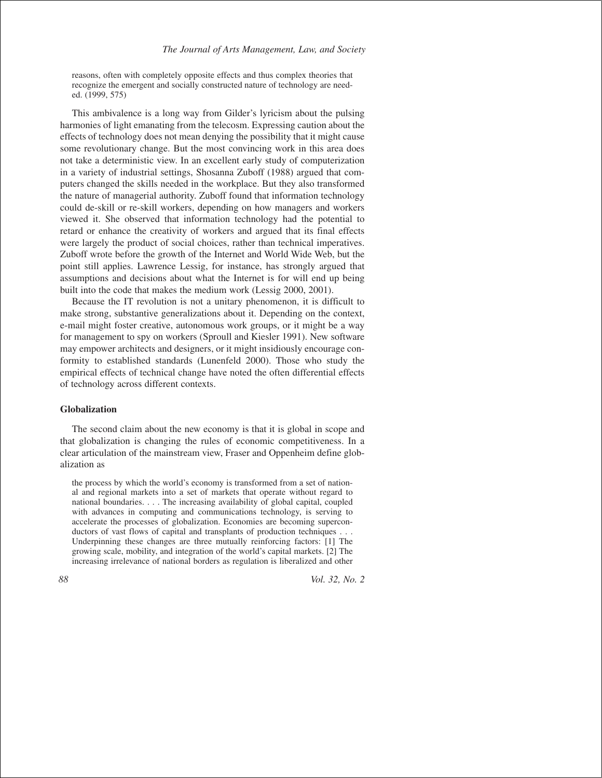reasons, often with completely opposite effects and thus complex theories that recognize the emergent and socially constructed nature of technology are needed. (1999, 575)

This ambivalence is a long way from Gilder's lyricism about the pulsing harmonies of light emanating from the telecosm. Expressing caution about the effects of technology does not mean denying the possibility that it might cause some revolutionary change. But the most convincing work in this area does not take a deterministic view. In an excellent early study of computerization in a variety of industrial settings, Shosanna Zuboff (1988) argued that computers changed the skills needed in the workplace. But they also transformed the nature of managerial authority. Zuboff found that information technology could de-skill or re-skill workers, depending on how managers and workers viewed it. She observed that information technology had the potential to retard or enhance the creativity of workers and argued that its final effects were largely the product of social choices, rather than technical imperatives. Zuboff wrote before the growth of the Internet and World Wide Web, but the point still applies. Lawrence Lessig, for instance, has strongly argued that assumptions and decisions about what the Internet is for will end up being built into the code that makes the medium work (Lessig 2000, 2001).

Because the IT revolution is not a unitary phenomenon, it is difficult to make strong, substantive generalizations about it. Depending on the context, e-mail might foster creative, autonomous work groups, or it might be a way for management to spy on workers (Sproull and Kiesler 1991). New software may empower architects and designers, or it might insidiously encourage conformity to established standards (Lunenfeld 2000). Those who study the empirical effects of technical change have noted the often differential effects of technology across different contexts.

#### **Globalization**

The second claim about the new economy is that it is global in scope and that globalization is changing the rules of economic competitiveness. In a clear articulation of the mainstream view, Fraser and Oppenheim define globalization as

the process by which the world's economy is transformed from a set of national and regional markets into a set of markets that operate without regard to national boundaries. . . . The increasing availability of global capital, coupled with advances in computing and communications technology, is serving to accelerate the processes of globalization. Economies are becoming superconductors of vast flows of capital and transplants of production techniques . . . Underpinning these changes are three mutually reinforcing factors: [1] The growing scale, mobility, and integration of the world's capital markets. [2] The increasing irrelevance of national borders as regulation is liberalized and other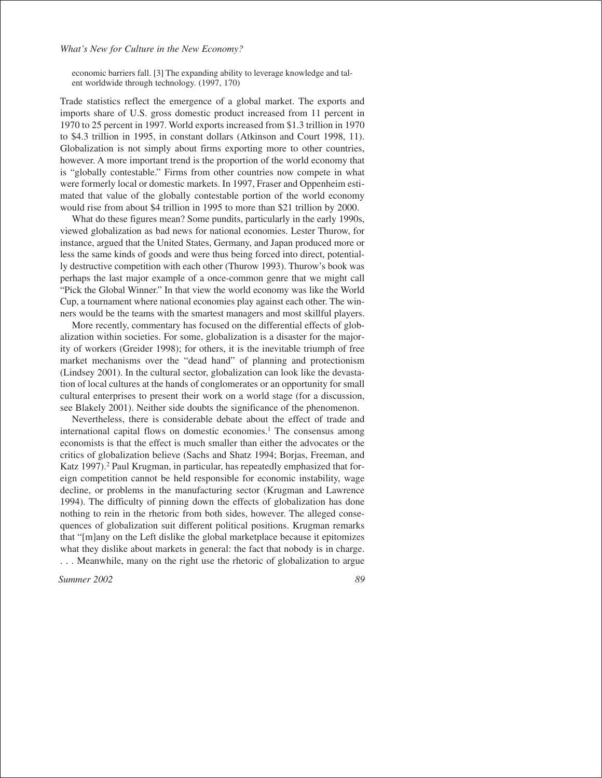#### *What's New for Culture in the New Economy?*

economic barriers fall. [3] The expanding ability to leverage knowledge and talent worldwide through technology. (1997, 170)

Trade statistics reflect the emergence of a global market. The exports and imports share of U.S. gross domestic product increased from 11 percent in 1970 to 25 percent in 1997. World exports increased from \$1.3 trillion in 1970 to \$4.3 trillion in 1995, in constant dollars (Atkinson and Court 1998, 11). Globalization is not simply about firms exporting more to other countries, however. A more important trend is the proportion of the world economy that is "globally contestable." Firms from other countries now compete in what were formerly local or domestic markets. In 1997, Fraser and Oppenheim estimated that value of the globally contestable portion of the world economy would rise from about \$4 trillion in 1995 to more than \$21 trillion by 2000.

What do these figures mean? Some pundits, particularly in the early 1990s, viewed globalization as bad news for national economies. Lester Thurow, for instance, argued that the United States, Germany, and Japan produced more or less the same kinds of goods and were thus being forced into direct, potentially destructive competition with each other (Thurow 1993). Thurow's book was perhaps the last major example of a once-common genre that we might call "Pick the Global Winner." In that view the world economy was like the World Cup, a tournament where national economies play against each other. The winners would be the teams with the smartest managers and most skillful players.

More recently, commentary has focused on the differential effects of globalization within societies. For some, globalization is a disaster for the majority of workers (Greider 1998); for others, it is the inevitable triumph of free market mechanisms over the "dead hand" of planning and protectionism (Lindsey 2001). In the cultural sector, globalization can look like the devastation of local cultures at the hands of conglomerates or an opportunity for small cultural enterprises to present their work on a world stage (for a discussion, see Blakely 2001). Neither side doubts the significance of the phenomenon.

Nevertheless, there is considerable debate about the effect of trade and international capital flows on domestic economies.<sup>1</sup> The consensus among economists is that the effect is much smaller than either the advocates or the critics of globalization believe (Sachs and Shatz 1994; Borjas, Freeman, and Katz 1997).<sup>2</sup> Paul Krugman, in particular, has repeatedly emphasized that foreign competition cannot be held responsible for economic instability, wage decline, or problems in the manufacturing sector (Krugman and Lawrence 1994). The difficulty of pinning down the effects of globalization has done nothing to rein in the rhetoric from both sides, however. The alleged consequences of globalization suit different political positions. Krugman remarks that "[m]any on the Left dislike the global marketplace because it epitomizes what they dislike about markets in general: the fact that nobody is in charge. . . . Meanwhile, many on the right use the rhetoric of globalization to argue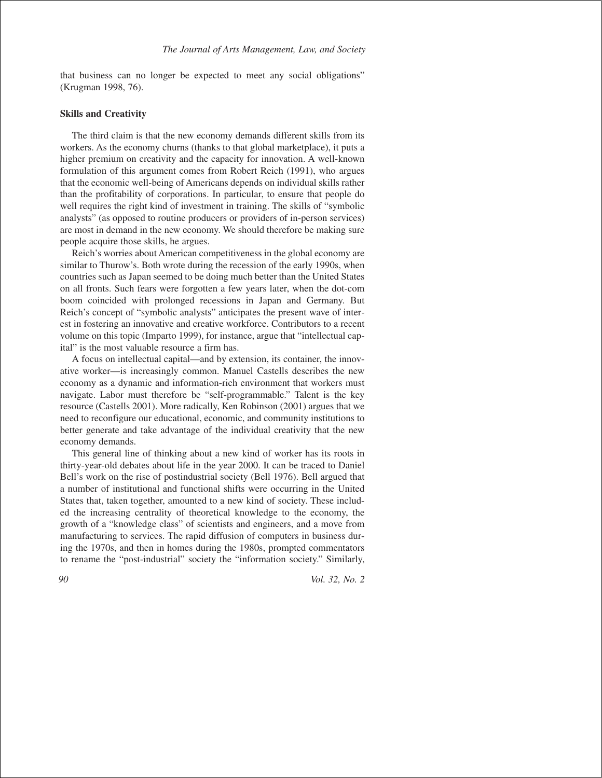that business can no longer be expected to meet any social obligations" (Krugman 1998, 76).

### **Skills and Creativity**

The third claim is that the new economy demands different skills from its workers. As the economy churns (thanks to that global marketplace), it puts a higher premium on creativity and the capacity for innovation. A well-known formulation of this argument comes from Robert Reich (1991), who argues that the economic well-being of Americans depends on individual skills rather than the profitability of corporations. In particular, to ensure that people do well requires the right kind of investment in training. The skills of "symbolic analysts" (as opposed to routine producers or providers of in-person services) are most in demand in the new economy. We should therefore be making sure people acquire those skills, he argues.

Reich's worries about American competitiveness in the global economy are similar to Thurow's. Both wrote during the recession of the early 1990s, when countries such as Japan seemed to be doing much better than the United States on all fronts. Such fears were forgotten a few years later, when the dot-com boom coincided with prolonged recessions in Japan and Germany. But Reich's concept of "symbolic analysts" anticipates the present wave of interest in fostering an innovative and creative workforce. Contributors to a recent volume on this topic (Imparto 1999), for instance, argue that "intellectual capital" is the most valuable resource a firm has.

A focus on intellectual capital—and by extension, its container, the innovative worker—is increasingly common. Manuel Castells describes the new economy as a dynamic and information-rich environment that workers must navigate. Labor must therefore be "self-programmable." Talent is the key resource (Castells 2001). More radically, Ken Robinson (2001) argues that we need to reconfigure our educational, economic, and community institutions to better generate and take advantage of the individual creativity that the new economy demands.

This general line of thinking about a new kind of worker has its roots in thirty-year-old debates about life in the year 2000. It can be traced to Daniel Bell's work on the rise of postindustrial society (Bell 1976). Bell argued that a number of institutional and functional shifts were occurring in the United States that, taken together, amounted to a new kind of society. These included the increasing centrality of theoretical knowledge to the economy, the growth of a "knowledge class" of scientists and engineers, and a move from manufacturing to services. The rapid diffusion of computers in business during the 1970s, and then in homes during the 1980s, prompted commentators to rename the "post-industrial" society the "information society." Similarly,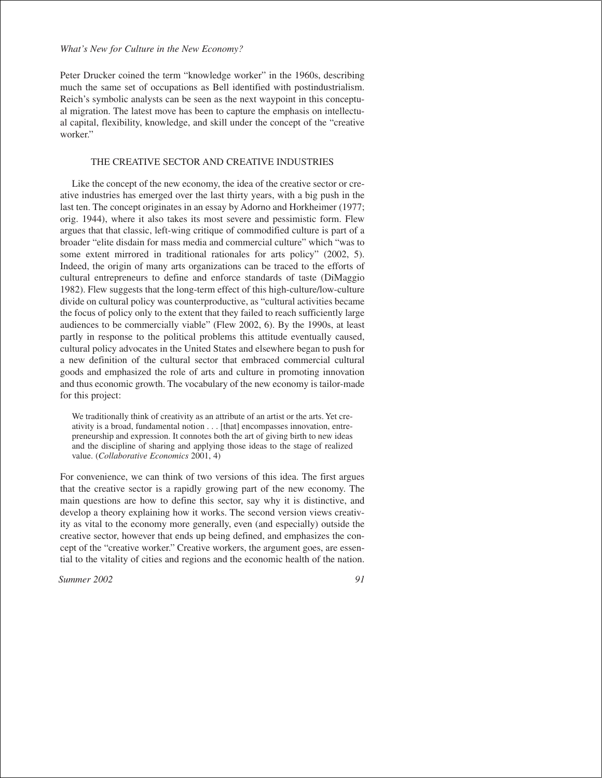Peter Drucker coined the term "knowledge worker" in the 1960s, describing much the same set of occupations as Bell identified with postindustrialism. Reich's symbolic analysts can be seen as the next waypoint in this conceptual migration. The latest move has been to capture the emphasis on intellectual capital, flexibility, knowledge, and skill under the concept of the "creative worker."

# THE CREATIVE SECTOR AND CREATIVE INDUSTRIES

Like the concept of the new economy, the idea of the creative sector or creative industries has emerged over the last thirty years, with a big push in the last ten. The concept originates in an essay by Adorno and Horkheimer (1977; orig. 1944), where it also takes its most severe and pessimistic form. Flew argues that that classic, left-wing critique of commodified culture is part of a broader "elite disdain for mass media and commercial culture" which "was to some extent mirrored in traditional rationales for arts policy" (2002, 5). Indeed, the origin of many arts organizations can be traced to the efforts of cultural entrepreneurs to define and enforce standards of taste (DiMaggio 1982). Flew suggests that the long-term effect of this high-culture/low-culture divide on cultural policy was counterproductive, as "cultural activities became the focus of policy only to the extent that they failed to reach sufficiently large audiences to be commercially viable" (Flew 2002, 6). By the 1990s, at least partly in response to the political problems this attitude eventually caused, cultural policy advocates in the United States and elsewhere began to push for a new definition of the cultural sector that embraced commercial cultural goods and emphasized the role of arts and culture in promoting innovation and thus economic growth. The vocabulary of the new economy is tailor-made for this project:

We traditionally think of creativity as an attribute of an artist or the arts. Yet creativity is a broad, fundamental notion . . . [that] encompasses innovation, entrepreneurship and expression. It connotes both the art of giving birth to new ideas and the discipline of sharing and applying those ideas to the stage of realized value. (*Collaborative Economics* 2001, 4)

For convenience, we can think of two versions of this idea. The first argues that the creative sector is a rapidly growing part of the new economy. The main questions are how to define this sector, say why it is distinctive, and develop a theory explaining how it works. The second version views creativity as vital to the economy more generally, even (and especially) outside the creative sector, however that ends up being defined, and emphasizes the concept of the "creative worker." Creative workers, the argument goes, are essential to the vitality of cities and regions and the economic health of the nation.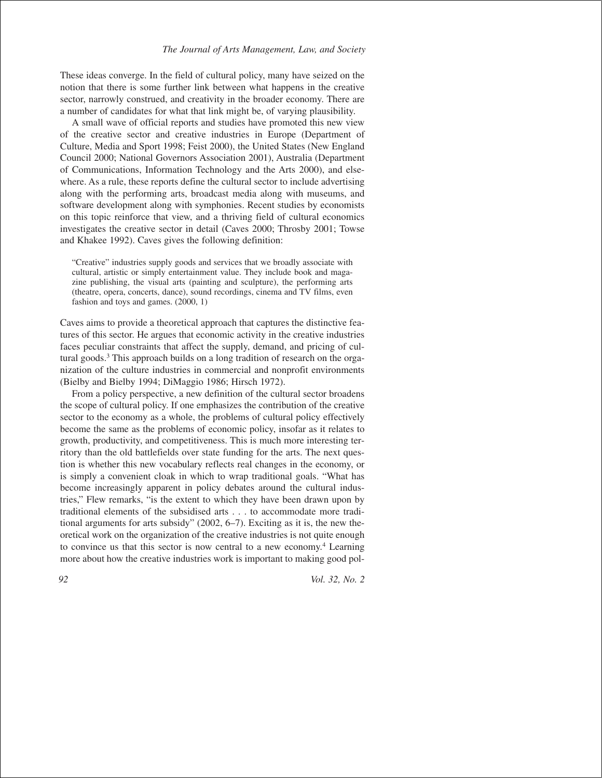These ideas converge. In the field of cultural policy, many have seized on the notion that there is some further link between what happens in the creative sector, narrowly construed, and creativity in the broader economy. There are a number of candidates for what that link might be, of varying plausibility.

A small wave of official reports and studies have promoted this new view of the creative sector and creative industries in Europe (Department of Culture, Media and Sport 1998; Feist 2000), the United States (New England Council 2000; National Governors Association 2001), Australia (Department of Communications, Information Technology and the Arts 2000), and elsewhere. As a rule, these reports define the cultural sector to include advertising along with the performing arts, broadcast media along with museums, and software development along with symphonies. Recent studies by economists on this topic reinforce that view, and a thriving field of cultural economics investigates the creative sector in detail (Caves 2000; Throsby 2001; Towse and Khakee 1992). Caves gives the following definition:

"Creative" industries supply goods and services that we broadly associate with cultural, artistic or simply entertainment value. They include book and magazine publishing, the visual arts (painting and sculpture), the performing arts (theatre, opera, concerts, dance), sound recordings, cinema and TV films, even fashion and toys and games. (2000, 1)

Caves aims to provide a theoretical approach that captures the distinctive features of this sector. He argues that economic activity in the creative industries faces peculiar constraints that affect the supply, demand, and pricing of cultural goods.3 This approach builds on a long tradition of research on the organization of the culture industries in commercial and nonprofit environments (Bielby and Bielby 1994; DiMaggio 1986; Hirsch 1972).

From a policy perspective, a new definition of the cultural sector broadens the scope of cultural policy. If one emphasizes the contribution of the creative sector to the economy as a whole, the problems of cultural policy effectively become the same as the problems of economic policy, insofar as it relates to growth, productivity, and competitiveness. This is much more interesting territory than the old battlefields over state funding for the arts. The next question is whether this new vocabulary reflects real changes in the economy, or is simply a convenient cloak in which to wrap traditional goals. "What has become increasingly apparent in policy debates around the cultural industries," Flew remarks, "is the extent to which they have been drawn upon by traditional elements of the subsidised arts . . . to accommodate more traditional arguments for arts subsidy" (2002, 6–7). Exciting as it is, the new theoretical work on the organization of the creative industries is not quite enough to convince us that this sector is now central to a new economy.4 Learning more about how the creative industries work is important to making good pol-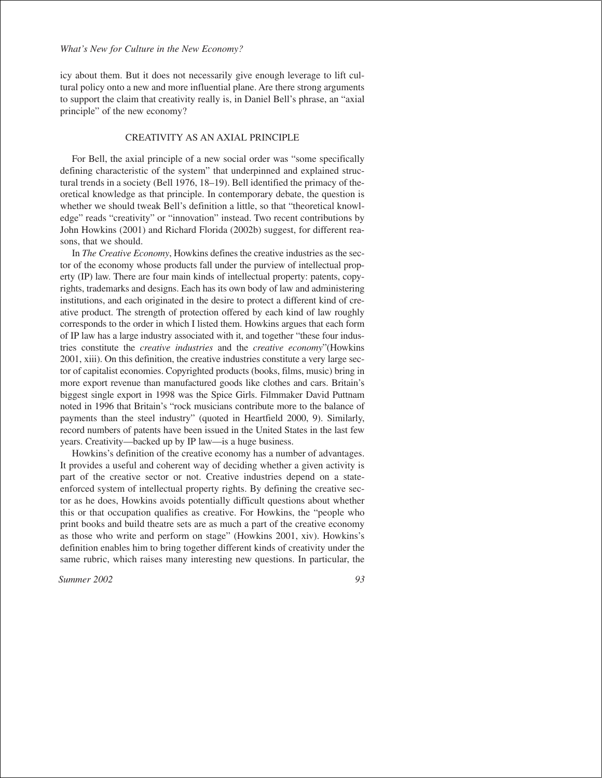icy about them. But it does not necessarily give enough leverage to lift cultural policy onto a new and more influential plane. Are there strong arguments to support the claim that creativity really is, in Daniel Bell's phrase, an "axial principle" of the new economy?

#### CREATIVITY AS AN AXIAL PRINCIPLE

For Bell, the axial principle of a new social order was "some specifically defining characteristic of the system" that underpinned and explained structural trends in a society (Bell 1976, 18–19). Bell identified the primacy of theoretical knowledge as that principle. In contemporary debate, the question is whether we should tweak Bell's definition a little, so that "theoretical knowledge" reads "creativity" or "innovation" instead. Two recent contributions by John Howkins (2001) and Richard Florida (2002b) suggest, for different reasons, that we should.

In *The Creative Economy*, Howkins defines the creative industries as the sector of the economy whose products fall under the purview of intellectual property (IP) law. There are four main kinds of intellectual property: patents, copyrights, trademarks and designs. Each has its own body of law and administering institutions, and each originated in the desire to protect a different kind of creative product. The strength of protection offered by each kind of law roughly corresponds to the order in which I listed them. Howkins argues that each form of IP law has a large industry associated with it, and together "these four industries constitute the *creative industries* and the *creative economy*"(Howkins 2001, xiii). On this definition, the creative industries constitute a very large sector of capitalist economies. Copyrighted products (books, films, music) bring in more export revenue than manufactured goods like clothes and cars. Britain's biggest single export in 1998 was the Spice Girls. Filmmaker David Puttnam noted in 1996 that Britain's "rock musicians contribute more to the balance of payments than the steel industry" (quoted in Heartfield 2000, 9). Similarly, record numbers of patents have been issued in the United States in the last few years. Creativity—backed up by IP law—is a huge business.

Howkins's definition of the creative economy has a number of advantages. It provides a useful and coherent way of deciding whether a given activity is part of the creative sector or not. Creative industries depend on a stateenforced system of intellectual property rights. By defining the creative sector as he does, Howkins avoids potentially difficult questions about whether this or that occupation qualifies as creative. For Howkins, the "people who print books and build theatre sets are as much a part of the creative economy as those who write and perform on stage" (Howkins 2001, xiv). Howkins's definition enables him to bring together different kinds of creativity under the same rubric, which raises many interesting new questions. In particular, the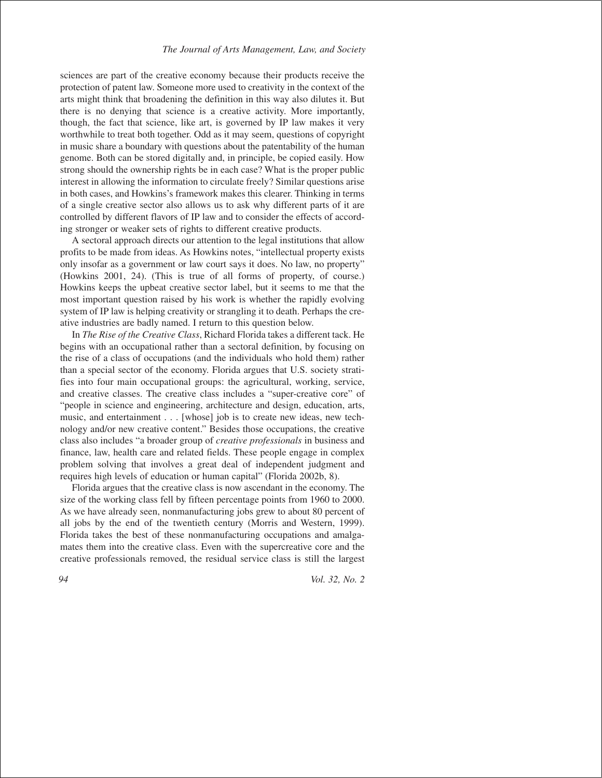sciences are part of the creative economy because their products receive the protection of patent law. Someone more used to creativity in the context of the arts might think that broadening the definition in this way also dilutes it. But there is no denying that science is a creative activity. More importantly, though, the fact that science, like art, is governed by IP law makes it very worthwhile to treat both together. Odd as it may seem, questions of copyright in music share a boundary with questions about the patentability of the human genome. Both can be stored digitally and, in principle, be copied easily. How strong should the ownership rights be in each case? What is the proper public interest in allowing the information to circulate freely? Similar questions arise in both cases, and Howkins's framework makes this clearer. Thinking in terms of a single creative sector also allows us to ask why different parts of it are controlled by different flavors of IP law and to consider the effects of according stronger or weaker sets of rights to different creative products.

A sectoral approach directs our attention to the legal institutions that allow profits to be made from ideas. As Howkins notes, "intellectual property exists only insofar as a government or law court says it does. No law, no property" (Howkins 2001, 24). (This is true of all forms of property, of course.) Howkins keeps the upbeat creative sector label, but it seems to me that the most important question raised by his work is whether the rapidly evolving system of IP law is helping creativity or strangling it to death. Perhaps the creative industries are badly named. I return to this question below.

In *The Rise of the Creative Class*, Richard Florida takes a different tack. He begins with an occupational rather than a sectoral definition, by focusing on the rise of a class of occupations (and the individuals who hold them) rather than a special sector of the economy. Florida argues that U.S. society stratifies into four main occupational groups: the agricultural, working, service, and creative classes. The creative class includes a "super-creative core" of "people in science and engineering, architecture and design, education, arts, music, and entertainment . . . [whose] job is to create new ideas, new technology and/or new creative content." Besides those occupations, the creative class also includes "a broader group of *creative professionals* in business and finance, law, health care and related fields. These people engage in complex problem solving that involves a great deal of independent judgment and requires high levels of education or human capital" (Florida 2002b, 8).

Florida argues that the creative class is now ascendant in the economy. The size of the working class fell by fifteen percentage points from 1960 to 2000. As we have already seen, nonmanufacturing jobs grew to about 80 percent of all jobs by the end of the twentieth century (Morris and Western, 1999). Florida takes the best of these nonmanufacturing occupations and amalgamates them into the creative class. Even with the supercreative core and the creative professionals removed, the residual service class is still the largest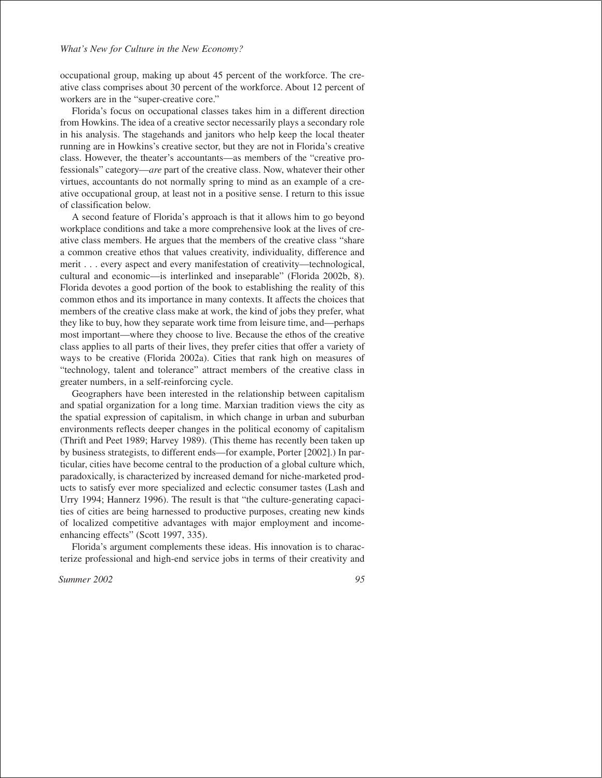occupational group, making up about 45 percent of the workforce. The creative class comprises about 30 percent of the workforce. About 12 percent of workers are in the "super-creative core."

Florida's focus on occupational classes takes him in a different direction from Howkins. The idea of a creative sector necessarily plays a secondary role in his analysis. The stagehands and janitors who help keep the local theater running are in Howkins's creative sector, but they are not in Florida's creative class. However, the theater's accountants—as members of the "creative professionals" category—*are* part of the creative class. Now, whatever their other virtues, accountants do not normally spring to mind as an example of a creative occupational group, at least not in a positive sense. I return to this issue of classification below.

A second feature of Florida's approach is that it allows him to go beyond workplace conditions and take a more comprehensive look at the lives of creative class members. He argues that the members of the creative class "share a common creative ethos that values creativity, individuality, difference and merit . . . every aspect and every manifestation of creativity—technological, cultural and economic—is interlinked and inseparable" (Florida 2002b, 8). Florida devotes a good portion of the book to establishing the reality of this common ethos and its importance in many contexts. It affects the choices that members of the creative class make at work, the kind of jobs they prefer, what they like to buy, how they separate work time from leisure time, and—perhaps most important—where they choose to live. Because the ethos of the creative class applies to all parts of their lives, they prefer cities that offer a variety of ways to be creative (Florida 2002a). Cities that rank high on measures of "technology, talent and tolerance" attract members of the creative class in greater numbers, in a self-reinforcing cycle.

Geographers have been interested in the relationship between capitalism and spatial organization for a long time. Marxian tradition views the city as the spatial expression of capitalism, in which change in urban and suburban environments reflects deeper changes in the political economy of capitalism (Thrift and Peet 1989; Harvey 1989). (This theme has recently been taken up by business strategists, to different ends—for example, Porter [2002].) In particular, cities have become central to the production of a global culture which, paradoxically, is characterized by increased demand for niche-marketed products to satisfy ever more specialized and eclectic consumer tastes (Lash and Urry 1994; Hannerz 1996). The result is that "the culture-generating capacities of cities are being harnessed to productive purposes, creating new kinds of localized competitive advantages with major employment and incomeenhancing effects" (Scott 1997, 335).

Florida's argument complements these ideas. His innovation is to characterize professional and high-end service jobs in terms of their creativity and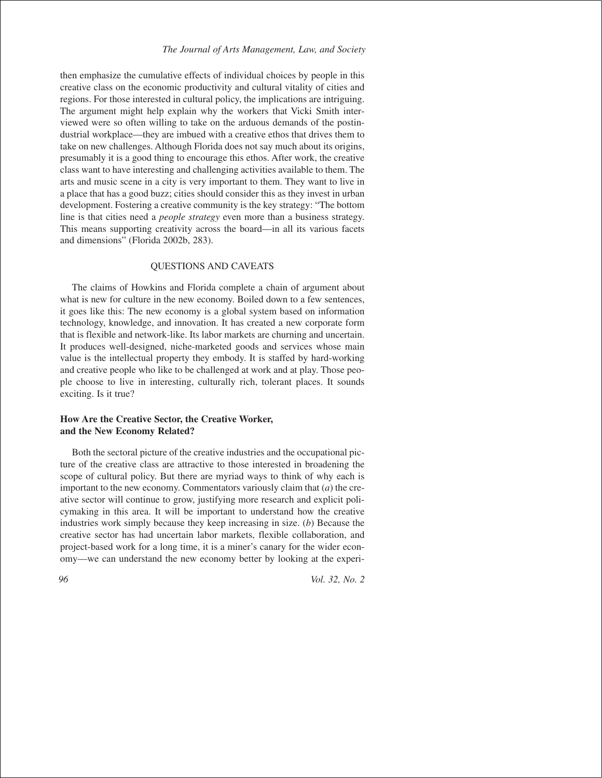#### *The Journal of Arts Management, Law, and Society*

then emphasize the cumulative effects of individual choices by people in this creative class on the economic productivity and cultural vitality of cities and regions. For those interested in cultural policy, the implications are intriguing. The argument might help explain why the workers that Vicki Smith interviewed were so often willing to take on the arduous demands of the postindustrial workplace—they are imbued with a creative ethos that drives them to take on new challenges. Although Florida does not say much about its origins, presumably it is a good thing to encourage this ethos. After work, the creative class want to have interesting and challenging activities available to them. The arts and music scene in a city is very important to them. They want to live in a place that has a good buzz; cities should consider this as they invest in urban development. Fostering a creative community is the key strategy: "The bottom line is that cities need a *people strategy* even more than a business strategy. This means supporting creativity across the board—in all its various facets and dimensions" (Florida 2002b, 283).

# QUESTIONS AND CAVEATS

The claims of Howkins and Florida complete a chain of argument about what is new for culture in the new economy. Boiled down to a few sentences, it goes like this: The new economy is a global system based on information technology, knowledge, and innovation. It has created a new corporate form that is flexible and network-like. Its labor markets are churning and uncertain. It produces well-designed, niche-marketed goods and services whose main value is the intellectual property they embody. It is staffed by hard-working and creative people who like to be challenged at work and at play. Those people choose to live in interesting, culturally rich, tolerant places. It sounds exciting. Is it true?

### **How Are the Creative Sector, the Creative Worker, and the New Economy Related?**

Both the sectoral picture of the creative industries and the occupational picture of the creative class are attractive to those interested in broadening the scope of cultural policy. But there are myriad ways to think of why each is important to the new economy. Commentators variously claim that (*a*) the creative sector will continue to grow, justifying more research and explicit policymaking in this area. It will be important to understand how the creative industries work simply because they keep increasing in size. (*b*) Because the creative sector has had uncertain labor markets, flexible collaboration, and project-based work for a long time, it is a miner's canary for the wider economy—we can understand the new economy better by looking at the experi-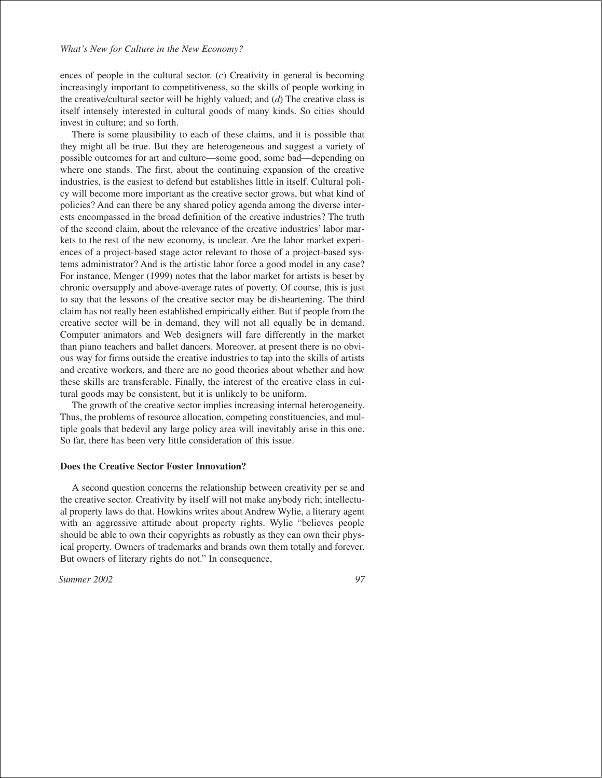ences of people in the cultural sector. (*c*) Creativity in general is becoming increasingly important to competitiveness, so the skills of people working in the creative/cultural sector will be highly valued; and (*d*) The creative class is itself intensely interested in cultural goods of many kinds. So cities should invest in culture; and so forth.

There is some plausibility to each of these claims, and it is possible that they might all be true. But they are heterogeneous and suggest a variety of possible outcomes for art and culture—some good, some bad—depending on where one stands. The first, about the continuing expansion of the creative industries, is the easiest to defend but establishes little in itself. Cultural policy will become more important as the creative sector grows, but what kind of policies? And can there be any shared policy agenda among the diverse interests encompassed in the broad definition of the creative industries? The truth of the second claim, about the relevance of the creative industries' labor markets to the rest of the new economy, is unclear. Are the labor market experiences of a project-based stage actor relevant to those of a project-based systems administrator? And is the artistic labor force a good model in any case? For instance, Menger (1999) notes that the labor market for artists is beset by chronic oversupply and above-average rates of poverty. Of course, this is just to say that the lessons of the creative sector may be disheartening. The third claim has not really been established empirically either. But if people from the creative sector will be in demand, they will not all equally be in demand. Computer animators and Web designers will fare differently in the market than piano teachers and ballet dancers. Moreover, at present there is no obvious way for firms outside the creative industries to tap into the skills of artists and creative workers, and there are no good theories about whether and how these skills are transferable. Finally, the interest of the creative class in cultural goods may be consistent, but it is unlikely to be uniform.

The growth of the creative sector implies increasing internal heterogeneity. Thus, the problems of resource allocation, competing constituencies, and multiple goals that bedevil any large policy area will inevitably arise in this one. So far, there has been very little consideration of this issue.

#### **Does the Creative Sector Foster Innovation?**

A second question concerns the relationship between creativity per se and the creative sector. Creativity by itself will not make anybody rich; intellectual property laws do that. Howkins writes about Andrew Wylie, a literary agent with an aggressive attitude about property rights. Wylie "believes people should be able to own their copyrights as robustly as they can own their physical property. Owners of trademarks and brands own them totally and forever. But owners of literary rights do not." In consequence,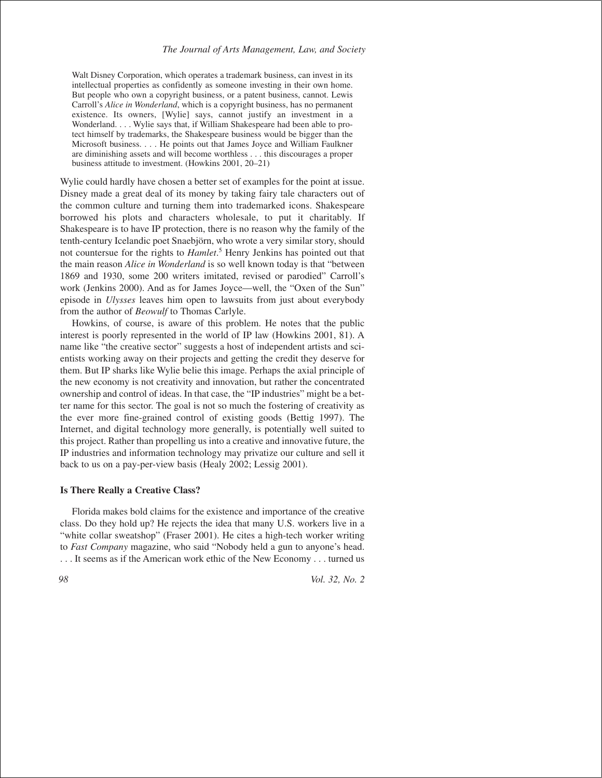Walt Disney Corporation, which operates a trademark business, can invest in its intellectual properties as confidently as someone investing in their own home. But people who own a copyright business, or a patent business, cannot. Lewis Carroll's *Alice in Wonderland*, which is a copyright business, has no permanent existence. Its owners, [Wylie] says, cannot justify an investment in a Wonderland. . . . Wylie says that, if William Shakespeare had been able to protect himself by trademarks, the Shakespeare business would be bigger than the Microsoft business. . . . He points out that James Joyce and William Faulkner are diminishing assets and will become worthless . . . this discourages a proper business attitude to investment. (Howkins 2001, 20–21)

Wylie could hardly have chosen a better set of examples for the point at issue. Disney made a great deal of its money by taking fairy tale characters out of the common culture and turning them into trademarked icons. Shakespeare borrowed his plots and characters wholesale, to put it charitably. If Shakespeare is to have IP protection, there is no reason why the family of the tenth-century Icelandic poet Snaebjörn, who wrote a very similar story, should not countersue for the rights to *Hamlet*. <sup>5</sup> Henry Jenkins has pointed out that the main reason *Alice in Wonderland* is so well known today is that "between 1869 and 1930, some 200 writers imitated, revised or parodied" Carroll's work (Jenkins 2000). And as for James Joyce—well, the "Oxen of the Sun" episode in *Ulysses* leaves him open to lawsuits from just about everybody from the author of *Beowulf* to Thomas Carlyle.

Howkins, of course, is aware of this problem. He notes that the public interest is poorly represented in the world of IP law (Howkins 2001, 81). A name like "the creative sector" suggests a host of independent artists and scientists working away on their projects and getting the credit they deserve for them. But IP sharks like Wylie belie this image. Perhaps the axial principle of the new economy is not creativity and innovation, but rather the concentrated ownership and control of ideas. In that case, the "IP industries" might be a better name for this sector. The goal is not so much the fostering of creativity as the ever more fine-grained control of existing goods (Bettig 1997). The Internet, and digital technology more generally, is potentially well suited to this project. Rather than propelling us into a creative and innovative future, the IP industries and information technology may privatize our culture and sell it back to us on a pay-per-view basis (Healy 2002; Lessig 2001).

#### **Is There Really a Creative Class?**

Florida makes bold claims for the existence and importance of the creative class. Do they hold up? He rejects the idea that many U.S. workers live in a "white collar sweatshop" (Fraser 2001). He cites a high-tech worker writing to *Fast Company* magazine, who said "Nobody held a gun to anyone's head. . . . It seems as if the American work ethic of the New Economy . . . turned us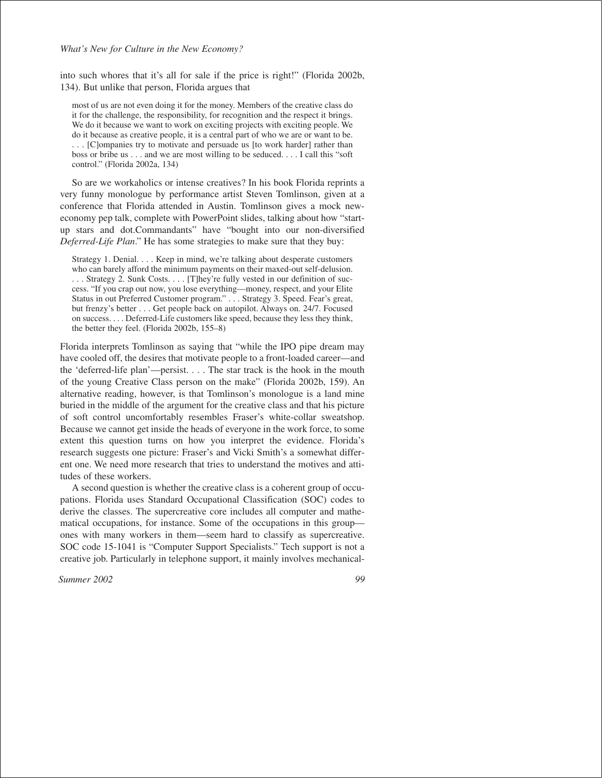into such whores that it's all for sale if the price is right!" (Florida 2002b, 134). But unlike that person, Florida argues that

most of us are not even doing it for the money. Members of the creative class do it for the challenge, the responsibility, for recognition and the respect it brings. We do it because we want to work on exciting projects with exciting people. We do it because as creative people, it is a central part of who we are or want to be. . . . [C]ompanies try to motivate and persuade us [to work harder] rather than boss or bribe us . . . and we are most willing to be seduced. . . . I call this "soft control." (Florida 2002a, 134)

So are we workaholics or intense creatives? In his book Florida reprints a very funny monologue by performance artist Steven Tomlinson, given at a conference that Florida attended in Austin. Tomlinson gives a mock neweconomy pep talk, complete with PowerPoint slides, talking about how "startup stars and dot.Commandants" have "bought into our non-diversified *Deferred-Life Plan*." He has some strategies to make sure that they buy:

Strategy 1. Denial. . . . Keep in mind, we're talking about desperate customers who can barely afford the minimum payments on their maxed-out self-delusion. . . . Strategy 2. Sunk Costs. . . . [T]hey're fully vested in our definition of success. "If you crap out now, you lose everything—money, respect, and your Elite Status in out Preferred Customer program." . . . Strategy 3. Speed. Fear's great, but frenzy's better . . . Get people back on autopilot. Always on. 24/7. Focused on success. . . . Deferred-Life customers like speed, because they less they think, the better they feel. (Florida 2002b, 155–8)

Florida interprets Tomlinson as saying that "while the IPO pipe dream may have cooled off, the desires that motivate people to a front-loaded career—and the 'deferred-life plan'—persist. . . . The star track is the hook in the mouth of the young Creative Class person on the make" (Florida 2002b, 159). An alternative reading, however, is that Tomlinson's monologue is a land mine buried in the middle of the argument for the creative class and that his picture of soft control uncomfortably resembles Fraser's white-collar sweatshop. Because we cannot get inside the heads of everyone in the work force, to some extent this question turns on how you interpret the evidence. Florida's research suggests one picture: Fraser's and Vicki Smith's a somewhat different one. We need more research that tries to understand the motives and attitudes of these workers.

A second question is whether the creative class is a coherent group of occupations. Florida uses Standard Occupational Classification (SOC) codes to derive the classes. The supercreative core includes all computer and mathematical occupations, for instance. Some of the occupations in this group ones with many workers in them—seem hard to classify as supercreative. SOC code 15-1041 is "Computer Support Specialists." Tech support is not a creative job. Particularly in telephone support, it mainly involves mechanical-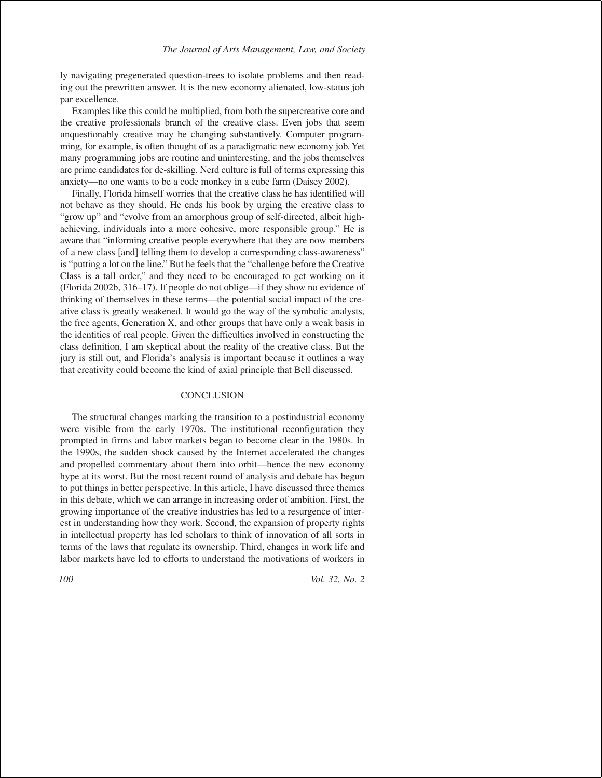ly navigating pregenerated question-trees to isolate problems and then reading out the prewritten answer. It is the new economy alienated, low-status job par excellence.

Examples like this could be multiplied, from both the supercreative core and the creative professionals branch of the creative class. Even jobs that seem unquestionably creative may be changing substantively. Computer programming, for example, is often thought of as a paradigmatic new economy job. Yet many programming jobs are routine and uninteresting, and the jobs themselves are prime candidates for de-skilling. Nerd culture is full of terms expressing this anxiety—no one wants to be a code monkey in a cube farm (Daisey 2002).

Finally, Florida himself worries that the creative class he has identified will not behave as they should. He ends his book by urging the creative class to "grow up" and "evolve from an amorphous group of self-directed, albeit highachieving, individuals into a more cohesive, more responsible group." He is aware that "informing creative people everywhere that they are now members of a new class [and] telling them to develop a corresponding class-awareness" is "putting a lot on the line." But he feels that the "challenge before the Creative Class is a tall order," and they need to be encouraged to get working on it (Florida 2002b, 316–17). If people do not oblige—if they show no evidence of thinking of themselves in these terms—the potential social impact of the creative class is greatly weakened. It would go the way of the symbolic analysts, the free agents, Generation X, and other groups that have only a weak basis in the identities of real people. Given the difficulties involved in constructing the class definition, I am skeptical about the reality of the creative class. But the jury is still out, and Florida's analysis is important because it outlines a way that creativity could become the kind of axial principle that Bell discussed.

### **CONCLUSION**

The structural changes marking the transition to a postindustrial economy were visible from the early 1970s. The institutional reconfiguration they prompted in firms and labor markets began to become clear in the 1980s. In the 1990s, the sudden shock caused by the Internet accelerated the changes and propelled commentary about them into orbit—hence the new economy hype at its worst. But the most recent round of analysis and debate has begun to put things in better perspective. In this article, I have discussed three themes in this debate, which we can arrange in increasing order of ambition. First, the growing importance of the creative industries has led to a resurgence of interest in understanding how they work. Second, the expansion of property rights in intellectual property has led scholars to think of innovation of all sorts in terms of the laws that regulate its ownership. Third, changes in work life and labor markets have led to efforts to understand the motivations of workers in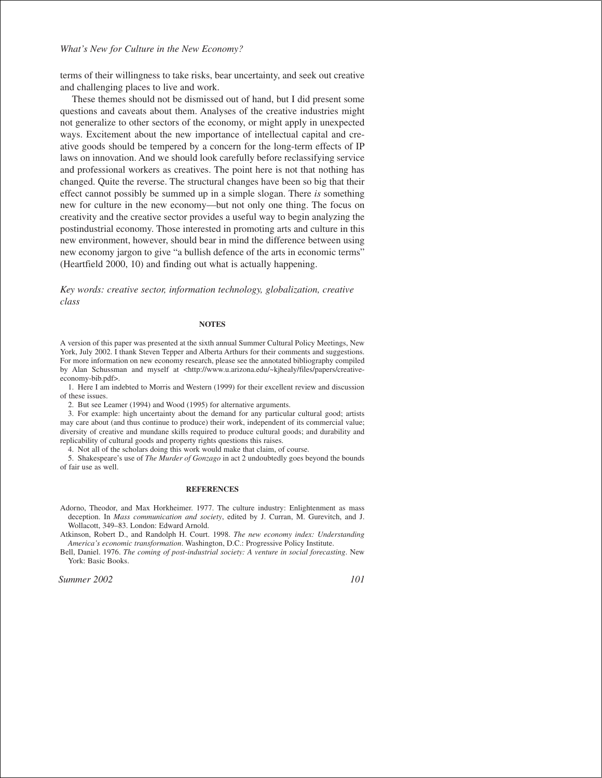terms of their willingness to take risks, bear uncertainty, and seek out creative and challenging places to live and work.

These themes should not be dismissed out of hand, but I did present some questions and caveats about them. Analyses of the creative industries might not generalize to other sectors of the economy, or might apply in unexpected ways. Excitement about the new importance of intellectual capital and creative goods should be tempered by a concern for the long-term effects of IP laws on innovation. And we should look carefully before reclassifying service and professional workers as creatives. The point here is not that nothing has changed. Quite the reverse. The structural changes have been so big that their effect cannot possibly be summed up in a simple slogan. There *is* something new for culture in the new economy—but not only one thing. The focus on creativity and the creative sector provides a useful way to begin analyzing the postindustrial economy. Those interested in promoting arts and culture in this new environment, however, should bear in mind the difference between using new economy jargon to give "a bullish defence of the arts in economic terms" (Heartfield 2000, 10) and finding out what is actually happening.

*Key words: creative sector, information technology, globalization, creative class* 

#### **NOTES**

A version of this paper was presented at the sixth annual Summer Cultural Policy Meetings, New York, July 2002. I thank Steven Tepper and Alberta Arthurs for their comments and suggestions. For more information on new economy research, please see the annotated bibliography compiled by Alan Schussman and myself at <http://www.u.arizona.edu/~kjhealy/files/papers/creativeeconomy-bib.pdf>.

1. Here I am indebted to Morris and Western (1999) for their excellent review and discussion of these issues.

2. But see Leamer (1994) and Wood (1995) for alternative arguments.

3. For example: high uncertainty about the demand for any particular cultural good; artists may care about (and thus continue to produce) their work, independent of its commercial value; diversity of creative and mundane skills required to produce cultural goods; and durability and replicability of cultural goods and property rights questions this raises.

4. Not all of the scholars doing this work would make that claim, of course.

5. Shakespeare's use of *The Murder of Gonzago* in act 2 undoubtedly goes beyond the bounds of fair use as well.

#### **REFERENCES**

Adorno, Theodor, and Max Horkheimer. 1977. The culture industry: Enlightenment as mass deception. In *Mass communication and society*, edited by J. Curran, M. Gurevitch, and J. Wollacott, 349–83. London: Edward Arnold.

Atkinson, Robert D., and Randolph H. Court. 1998. *The new economy index: Understanding America's economic transformation*. Washington, D.C.: Progressive Policy Institute.

Bell, Daniel. 1976. *The coming of post-industrial society: A venture in social forecasting*. New York: Basic Books.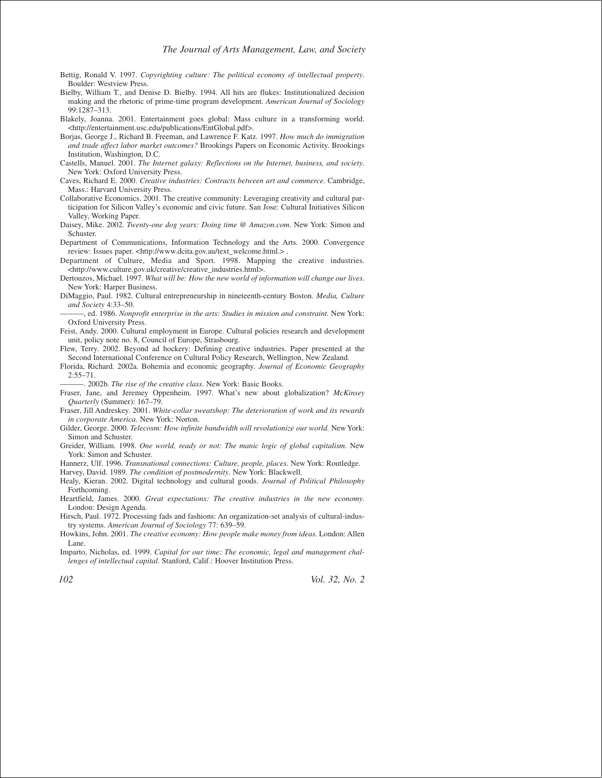- Bettig, Ronald V. 1997. *Copyrighting culture: The political economy of intellectual property*. Boulder: Westview Press.
- Bielby, William T., and Denise D. Bielby. 1994. All hits are flukes: Institutionalized decision making and the rhetoric of prime-time program development. *American Journal of Sociology* 99:1287–313.
- Blakely, Joanna. 2001. Entertainment goes global: Mass culture in a transforming world. <http://entertainment.usc.edu/publications/EntGlobal.pdf>.
- Borjas, George J., Richard B. Freeman, and Lawrence F. Katz. 1997. *How much do immigration and trade affect labor market outcomes?* Brookings Papers on Economic Activity. Brookings Institution, Washington, D.C.
- Castells, Manuel. 2001. *The Internet galaxy: Reflections on the Internet, business, and society*. New York: Oxford University Press.
- Caves, Richard E. 2000. *Creative industries: Contracts between art and commerce*. Cambridge, Mass.: Harvard University Press.
- Collaborative Economics. 2001. The creative community: Leveraging creativity and cultural participation for Silicon Valley's economic and civic future. San Jose: Cultural Initiatives Silicon Valley, Working Paper.
- Daisey, Mike. 2002. *Twenty-one dog years: Doing time @ Amazon.com*. New York: Simon and Schuster.
- Department of Communications, Information Technology and the Arts. 2000. Convergence review: Issues paper. <http://www.dcita.gov.au/text\_welcome.html.> .
- Department of Culture, Media and Sport. 1998. Mapping the creative industries. <http://www.culture.gov.uk/creative/creative\_industries.html>.
- Dertouzos, Michael. 1997. *What will be: How the new world of information will change our lives*. New York: Harper Business.
- DiMaggio, Paul. 1982. Cultural entrepreneurship in nineteenth-century Boston. *Media, Culture and Society* 4:33–50.
- ———, ed. 1986. *Nonprofit enterprise in the arts: Studies in mission and constraint.* New York: Oxford University Press.
- Feist, Andy. 2000. Cultural employment in Europe. Cultural policies research and development unit, policy note no. 8, Council of Europe, Strasbourg.
- Flew, Terry. 2002. Beyond ad hockery: Defining creative industries. Paper presented at the Second International Conference on Cultural Policy Research, Wellington, New Zealand.
- Florida, Richard. 2002a. Bohemia and economic geography*. Journal of Economic Geography* 2:55–71.
- ———. 2002b. *The rise of the creative class*. New York: Basic Books.
- Fraser, Jane, and Jeremey Oppenheim. 1997. What's new about globalization? *McKinsey Quarterly* (Summer): 167–79.
- Fraser, Jill Andreskey. 2001. *White-collar sweatshop: The deterioration of work and its rewards in corporate America*. New York: Norton.
- Gilder, George. 2000. *Telecosm: How infinite bandwidth will revolutionize our world.* New York: Simon and Schuster.
- Greider, William. 1998. *One world, ready or not: The manic logic of global capitalism*. New York: Simon and Schuster.
- Hannerz, Ulf. 1996. *Transnational connections: Culture, people, places*. New York: Routledge.
- Harvey, David. 1989. *The condition of postmodernity*. New York: Blackwell.
- Healy, Kieran. 2002. Digital technology and cultural goods. *Journal of Political Philosophy* Forthcoming.
- Heartfield, James. 2000. *Great expectations: The creative industries in the new economy*. London: Design Agenda.
- Hirsch, Paul. 1972. Processing fads and fashions: An organization-set analysis of cultural-industry systems. *American Journal of Sociology* 77: 639–59.
- Howkins, John. 2001. *The creative economy: How people make money from ideas.* London: Allen Lane.
- Imparto, Nicholas, ed. 1999. *Capital for our time: The economic, legal and management challenges of intellectual capital*. Stanford, Calif.: Hoover Institution Press.